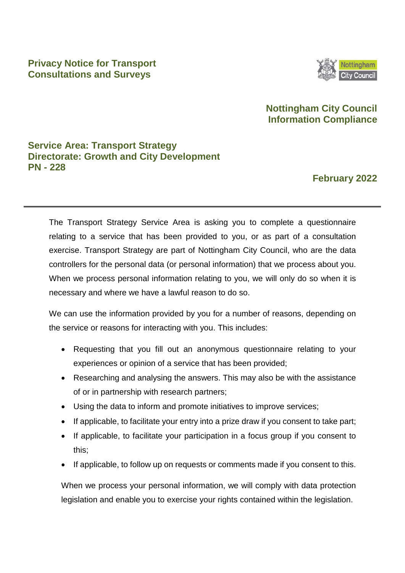### **Privacy Notice for Transport Consultations and Surveys**



## **Nottingham City Council Information Compliance**

## **Service Area: Transport Strategy Directorate: Growth and City Development PN - 228**

## **February 2022**

The Transport Strategy Service Area is asking you to complete a questionnaire relating to a service that has been provided to you, or as part of a consultation exercise. Transport Strategy are part of Nottingham City Council, who are the data controllers for the personal data (or personal information) that we process about you. When we process personal information relating to you, we will only do so when it is necessary and where we have a lawful reason to do so.

We can use the information provided by you for a number of reasons, depending on the service or reasons for interacting with you. This includes:

- Requesting that you fill out an anonymous questionnaire relating to your experiences or opinion of a service that has been provided;
- Researching and analysing the answers. This may also be with the assistance of or in partnership with research partners;
- Using the data to inform and promote initiatives to improve services;
- If applicable, to facilitate your entry into a prize draw if you consent to take part;
- If applicable, to facilitate your participation in a focus group if you consent to this;
- If applicable, to follow up on requests or comments made if you consent to this.

When we process your personal information, we will comply with data protection legislation and enable you to exercise your rights contained within the legislation.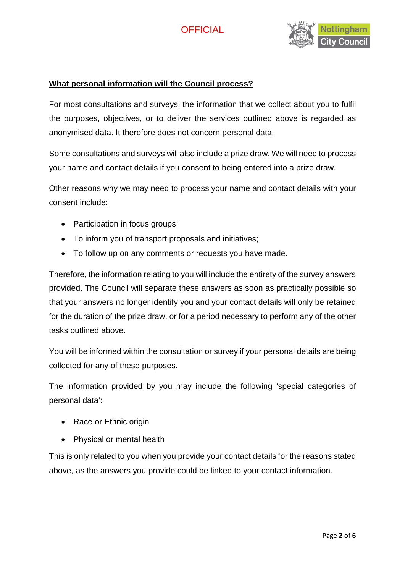

### **What personal information will the Council process?**

For most consultations and surveys, the information that we collect about you to fulfil the purposes, objectives, or to deliver the services outlined above is regarded as anonymised data. It therefore does not concern personal data.

Some consultations and surveys will also include a prize draw. We will need to process your name and contact details if you consent to being entered into a prize draw.

Other reasons why we may need to process your name and contact details with your consent include:

- Participation in focus groups;
- To inform you of transport proposals and initiatives;
- To follow up on any comments or requests you have made.

Therefore, the information relating to you will include the entirety of the survey answers provided. The Council will separate these answers as soon as practically possible so that your answers no longer identify you and your contact details will only be retained for the duration of the prize draw, or for a period necessary to perform any of the other tasks outlined above.

You will be informed within the consultation or survey if your personal details are being collected for any of these purposes.

The information provided by you may include the following 'special categories of personal data':

- Race or Ethnic origin
- Physical or mental health

This is only related to you when you provide your contact details for the reasons stated above, as the answers you provide could be linked to your contact information.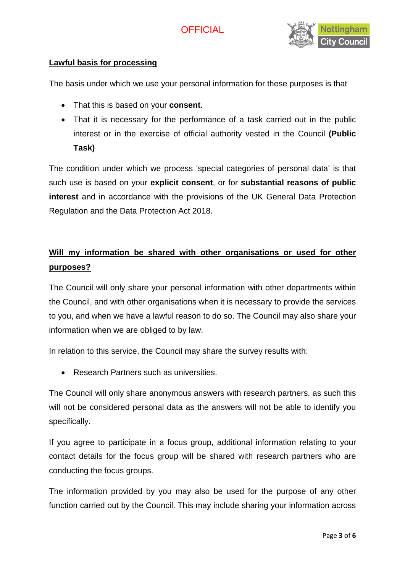

### **Lawful basis for processing**

The basis under which we use your personal information for these purposes is that

- That this is based on your **consent**.
- That it is necessary for the performance of a task carried out in the public interest or in the exercise of official authority vested in the Council **(Public Task)**

The condition under which we process 'special categories of personal data' is that such use is based on your **explicit consent**, or for **substantial reasons of public interest** and in accordance with the provisions of the UK General Data Protection Regulation and the Data Protection Act 2018.

# **Will my information be shared with other organisations or used for other purposes?**

The Council will only share your personal information with other departments within the Council, and with other organisations when it is necessary to provide the services to you, and when we have a lawful reason to do so. The Council may also share your information when we are obliged to by law.

In relation to this service, the Council may share the survey results with:

• Research Partners such as universities.

The Council will only share anonymous answers with research partners, as such this will not be considered personal data as the answers will not be able to identify you specifically.

If you agree to participate in a focus group, additional information relating to your contact details for the focus group will be shared with research partners who are conducting the focus groups.

The information provided by you may also be used for the purpose of any other function carried out by the Council. This may include sharing your information across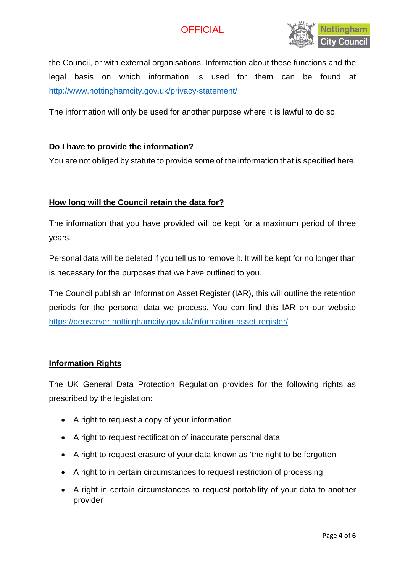

the Council, or with external organisations. Information about these functions and the legal basis on which information is used for them can be found at <http://www.nottinghamcity.gov.uk/privacy-statement/>

The information will only be used for another purpose where it is lawful to do so.

### **Do I have to provide the information?**

You are not obliged by statute to provide some of the information that is specified here.

### **How long will the Council retain the data for?**

The information that you have provided will be kept for a maximum period of three years.

Personal data will be deleted if you tell us to remove it. It will be kept for no longer than is necessary for the purposes that we have outlined to you.

The Council publish an Information Asset Register (IAR), this will outline the retention periods for the personal data we process. You can find this IAR on our website <https://geoserver.nottinghamcity.gov.uk/information-asset-register/>

#### **Information Rights**

The UK General Data Protection Regulation provides for the following rights as prescribed by the legislation:

- A right to request a copy of your information
- A right to request rectification of inaccurate personal data
- A right to request erasure of your data known as 'the right to be forgotten'
- A right to in certain circumstances to request restriction of processing
- A right in certain circumstances to request portability of your data to another provider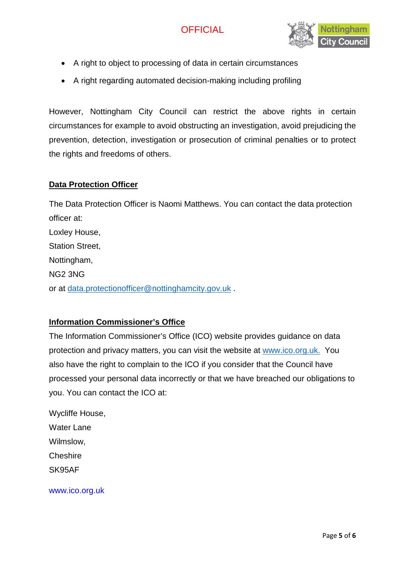

- A right to object to processing of data in certain circumstances
- A right regarding automated decision-making including profiling

However, Nottingham City Council can restrict the above rights in certain circumstances for example to avoid obstructing an investigation, avoid prejudicing the prevention, detection, investigation or prosecution of criminal penalties or to protect the rights and freedoms of others.

### **Data Protection Officer**

The Data Protection Officer is Naomi Matthews. You can contact the data protection officer at: Loxley House, Station Street, Nottingham, NG2 3NG or at [data.protectionofficer@nottinghamcity.gov.uk](mailto:data.protectionofficer@nottinghamcity.gov.uk) .

### **Information Commissioner's Office**

The Information Commissioner's Office (ICO) website provides guidance on data protection and privacy matters, you can visit the website at [www.ico.org.uk.](http://www.ico.org.uk/) You also have the right to complain to the ICO if you consider that the Council have processed your personal data incorrectly or that we have breached our obligations to you. You can contact the ICO at:

Wycliffe House, Water Lane Wilmslow, **Cheshire** SK95AF

www.ico.org.uk